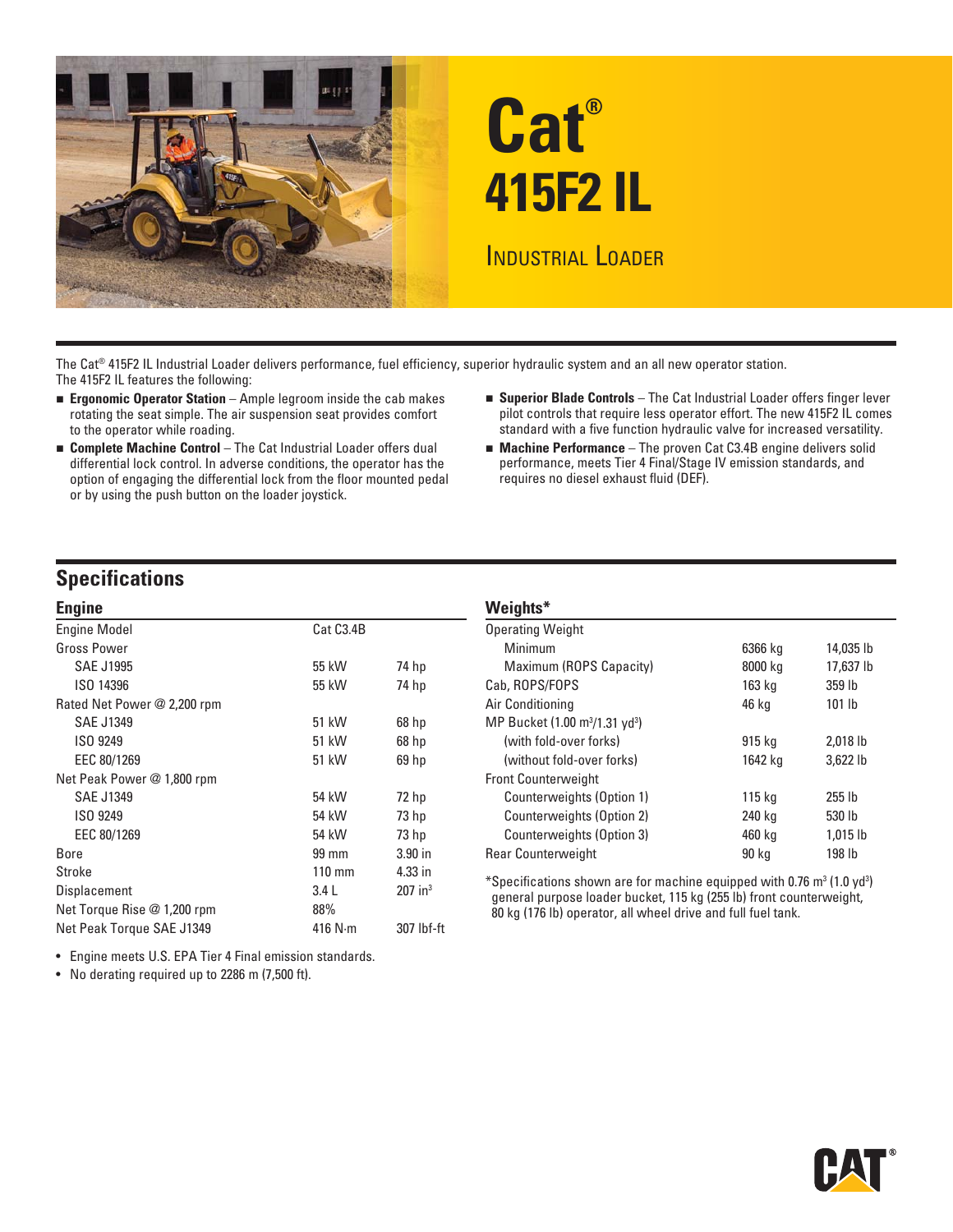

The Cat® 415F2 IL Industrial Loader delivers performance, fuel efficiency, superior hydraulic system and an all new operator station. The 415F2 IL features the following:

- 
- **Complete Machine Control** The Cat Industrial Loader offers dual differential lock control. In adverse conditions, the operator has the performance, meets Tier 4 Final/Stage option of engaging the differential lock from the floor mounted pedal requires no diesel exhaust fluid (DEF). option of engaging the differential lock from the floor mounted pedal or by using the push button on the loader joystick.
- **Ergonomic Operator Station** Ample legroom inside the cab makes **<b>Example Controls** The Cat Industrial Loader offers finger lever<br>rotating the seat simple. The air suspension seat provides comfort pilot controls that r pilot controls that require less operator effort. The new 415F2 IL comes to the operator while roading. Standard with a five function hydraulic valve for increased versatility.
	- **Machine Performance** The proven Cat C3.4B engine delivers solid

# **Specifications**

| <b>Engine</b>               |                  |                       |                       |  |  |  |
|-----------------------------|------------------|-----------------------|-----------------------|--|--|--|
| <b>Engine Model</b>         | Cat C3.4B        |                       | <b>Operating W</b>    |  |  |  |
| <b>Gross Power</b>          |                  |                       | Minimum               |  |  |  |
| <b>SAE J1995</b>            | 55 kW            | 74 hp                 | Maximun               |  |  |  |
| ISO 14396                   | 55 kW            | 74 hp                 | Cab, ROPS/F           |  |  |  |
| Rated Net Power @ 2,200 rpm |                  |                       | Air Conditior         |  |  |  |
| <b>SAE J1349</b>            | 51 kW            | $68$ hp               | <b>MP Bucket (</b>    |  |  |  |
| ISO 9249                    | 51 kW            | 68 hp                 | (with fold            |  |  |  |
| EEC 80/1269                 | 51 kW            | 69 hp                 | (without <sup>-</sup> |  |  |  |
| Net Peak Power @ 1,800 rpm  |                  |                       | <b>Front Counte</b>   |  |  |  |
| <b>SAE J1349</b>            | 54 kW            | 72 hp                 | Counterv              |  |  |  |
| ISO 9249                    | 54 kW            | 73 hp                 | Counterv              |  |  |  |
| EEC 80/1269                 | 54 kW            | 73 hp                 | Counterv              |  |  |  |
| Bore                        | 99 mm            | $3.90$ in             | <b>Rear Counte</b>    |  |  |  |
| Stroke                      | $110 \text{ mm}$ | 4.33 in               | *Specificatio         |  |  |  |
| Displacement                | 3.4L             | $207$ in <sup>3</sup> | general pur           |  |  |  |
| Net Torque Rise @ 1,200 rpm | 88%              |                       | 80 kg (176 ll         |  |  |  |
| Net Peak Torque SAE J1349   | 416 $N \cdot m$  | 307 lbf-ft            |                       |  |  |  |

• Engine meets U.S. EPA Tier 4 Final emission standards.

• No derating required up to 2286 m (7,500 ft).

| <b>VVCIYIILS</b>                                       |         |            |
|--------------------------------------------------------|---------|------------|
| <b>Operating Weight</b>                                |         |            |
| Minimum                                                | 6366 kg | 14,035 lb  |
| Maximum (ROPS Capacity)                                | 8000 kg | 17,637 lb  |
| Cab, ROPS/FOPS                                         | 163 kg  | 359 lb     |
| Air Conditioning                                       | 46 kg   | 101 lb     |
| MP Bucket (1.00 m <sup>3</sup> /1.31 yd <sup>3</sup> ) |         |            |
| (with fold-over forks)                                 | 915 kg  | $2.018$ lb |
| (without fold-over forks)                              | 1642 kg | 3.622 lb   |
| <b>Front Counterweight</b>                             |         |            |
| Counterweights (Option 1)                              | 115 kg  | $255$ lb   |
| Counterweights (Option 2)                              | 240 kg  | 530 lb     |
| Counterweights (Option 3)                              | 460 kg  | 1,015 lb   |
| Rear Counterweight                                     | 90 kg   | 198 lb     |
|                                                        |         |            |

 $*$ Specifications shown are for machine equipped with 0.76 m $^3$  (1.0 yd $^3$ ) general purpose loader bucket, 115 kg (255 lb) front counterweight, 80 kg (176 lb) operator, all wheel drive and full fuel tank.

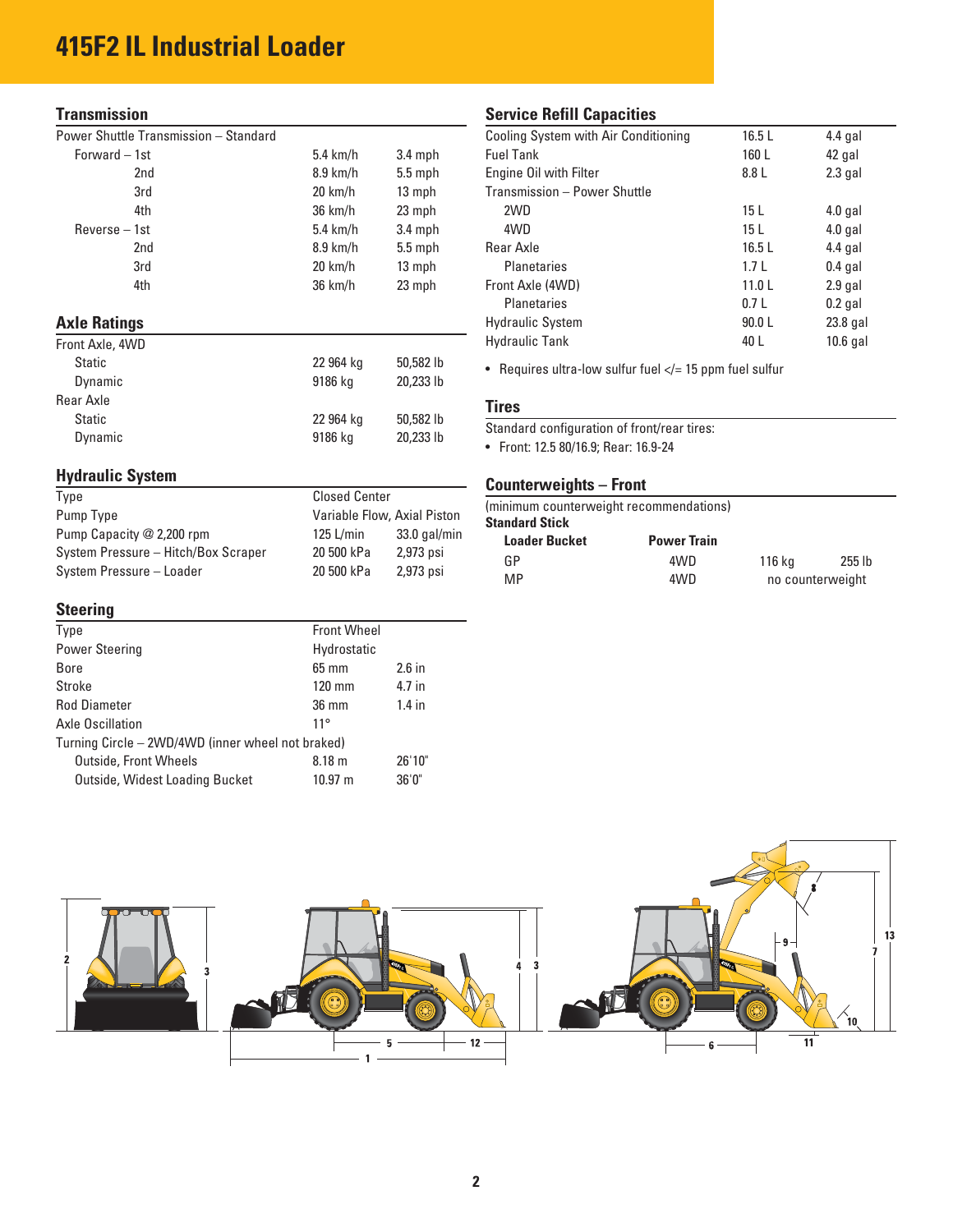# **415F2 IL Industrial Loader**

| Power Shuttle Transmission - Standard |  |
|---------------------------------------|--|
|---------------------------------------|--|

| Forward $-1st$      | $5.4 \text{ km/h}$<br>$3.4$ mph |           | <b>Fuel Tank</b>                                           | 160 L           | 42 gal     |  |  |
|---------------------|---------------------------------|-----------|------------------------------------------------------------|-----------------|------------|--|--|
| 2nd                 | $8.9$ km/h                      | $5.5$ mph | Engine Oil with Filter                                     | 8.8 L           | $2.3$ gal  |  |  |
| 3rd                 | $20 \text{ km/h}$               | 13 mph    | Transmission - Power Shuttle                               |                 |            |  |  |
| 4th                 | 36 km/h                         | 23 mph    | 2WD                                                        | 15 <sub>L</sub> | $4.0$ gal  |  |  |
| $Reverse - 1st$     | $5.4 \text{ km/h}$              | $3.4$ mph | 4WD                                                        | 15 <sub>L</sub> | $4.0$ gal  |  |  |
| 2nd                 | $8.9$ km/h                      | $5.5$ mph | Rear Axle                                                  | 16.5L           | $4.4$ gal  |  |  |
| 3rd                 | $20 \text{ km/h}$               | 13 mph    | <b>Planetaries</b>                                         | 1.7L            | $0.4$ gal  |  |  |
| 4th                 | 36 km/h                         | 23 mph    | Front Axle (4WD)                                           | 11.0L           | $2.9$ gal  |  |  |
|                     |                                 |           | <b>Planetaries</b>                                         | 0.7L            | $0.2$ gal  |  |  |
| <b>Axle Ratings</b> |                                 |           | <b>Hydraulic System</b>                                    | 90.0 L          | 23.8 gal   |  |  |
| Front Axle, 4WD     |                                 |           | <b>Hydraulic Tank</b>                                      | 40 L            | $10.6$ gal |  |  |
| <b>Static</b>       | 22 964 kg                       | 50,582 lb | • Requires ultra-low sulfur fuel $\lt/=15$ ppm fuel sulfur |                 |            |  |  |
| Dynamic             | 9186 kg                         | 20,233 lb |                                                            |                 |            |  |  |
| Rear Axle           |                                 |           | <b>Tires</b>                                               |                 |            |  |  |
| <b>Static</b>       | 22 964 kg                       | 50,582 lb |                                                            |                 |            |  |  |
| Dynamic             | 9186 kg                         | 20,233 lb | Standard configuration of front/rear tires:                |                 |            |  |  |
|                     |                                 |           | • Front: 12.5 80/16.9; Rear: 16.9-24                       |                 |            |  |  |

# **Hydraulic System**

| Type                                | <b>Closed Center</b>        |                |  |
|-------------------------------------|-----------------------------|----------------|--|
| Pump Type                           | Variable Flow, Axial Piston |                |  |
| Pump Capacity @ 2,200 rpm           | $125$ L/min                 | $33.0$ gal/min |  |
| System Pressure - Hitch/Box Scraper | 20 500 kPa                  | 2,973 psi      |  |
| System Pressure - Loader            | 20 500 kPa                  | 2,973 psi      |  |

#### **Steering**

| <b>Front Wheel</b><br><b>Type</b>                 |                             |          |  |  |
|---------------------------------------------------|-----------------------------|----------|--|--|
| <b>Power Steering</b>                             | Hydrostatic                 |          |  |  |
| Bore                                              | $65 \text{ mm}$             | $2.6$ in |  |  |
| Stroke                                            | $120 \text{ mm}$            | 4.7 in   |  |  |
| <b>Rod Diameter</b>                               | $1.4$ in<br>$36 \text{ mm}$ |          |  |  |
| Axle Oscillation                                  | $11^{\circ}$                |          |  |  |
| Turning Circle - 2WD/4WD (inner wheel not braked) |                             |          |  |  |
| <b>Outside, Front Wheels</b>                      | 8.18 <sub>m</sub>           | 26'10"   |  |  |
| Outside, Widest Loading Bucket                    | $10.97 \text{ m}$           | 36'0''   |  |  |
|                                                   |                             |          |  |  |

### **Transmission** Service Refill Capacities

| Power Shuttle Transmission - Standard |                   |           | Cooling System with Air Conditioning | 16.5L           | $4.4$ gal  |
|---------------------------------------|-------------------|-----------|--------------------------------------|-----------------|------------|
| Forward $-1st$                        | $5.4$ km/h        | $3.4$ mph | <b>Fuel Tank</b>                     | 160L            | 42 gal     |
| 2nd                                   | $8.9$ km/h        | $5.5$ mph | Engine Oil with Filter               | 8.8 L           | $2.3$ gal  |
| 3rd                                   | $20 \text{ km/h}$ | 13 mph    | Transmission - Power Shuttle         |                 |            |
| 4th                                   | 36 km/h           | 23 mph    | 2WD                                  | 15 L            | $4.0$ gal  |
| $Reverse - 1st$                       | $5.4$ km/h        | $3.4$ mph | 4WD                                  | 15 <sub>L</sub> | $4.0$ gal  |
| 2nd                                   | $8.9$ km/h        | $5.5$ mph | Rear Axle                            | 16.5L           | $4.4$ gal  |
| 3rd                                   | $20 \text{ km/h}$ | 13 mph    | <b>Planetaries</b>                   | 1.7L            | $0.4$ gal  |
| 4th                                   | $36 \text{ km/h}$ | 23 mph    | Front Axle (4WD)                     | 11.0L           | $2.9$ gal  |
|                                       |                   |           | <b>Planetaries</b>                   | 0.7L            | $0.2$ gal  |
| <b>Axle Ratings</b>                   |                   |           | <b>Hydraulic System</b>              | 90.0L           | 23.8 gal   |
| Front Axle, 4WD                       |                   |           | <b>Hydraulic Tank</b>                | 40 L            | $10.6$ gal |

#### **Tires**

# **Counterweights – Front**

| (minimum counterweight recommendations) |                    |                  |        |  |  |  |  |  |
|-----------------------------------------|--------------------|------------------|--------|--|--|--|--|--|
| <b>Standard Stick</b>                   |                    |                  |        |  |  |  |  |  |
| <b>Loader Bucket</b>                    | <b>Power Train</b> |                  |        |  |  |  |  |  |
| GP                                      | 4WD                | 116 kg           | 255 lb |  |  |  |  |  |
| <b>MP</b>                               | 4WD                | no counterweight |        |  |  |  |  |  |
|                                         |                    |                  |        |  |  |  |  |  |

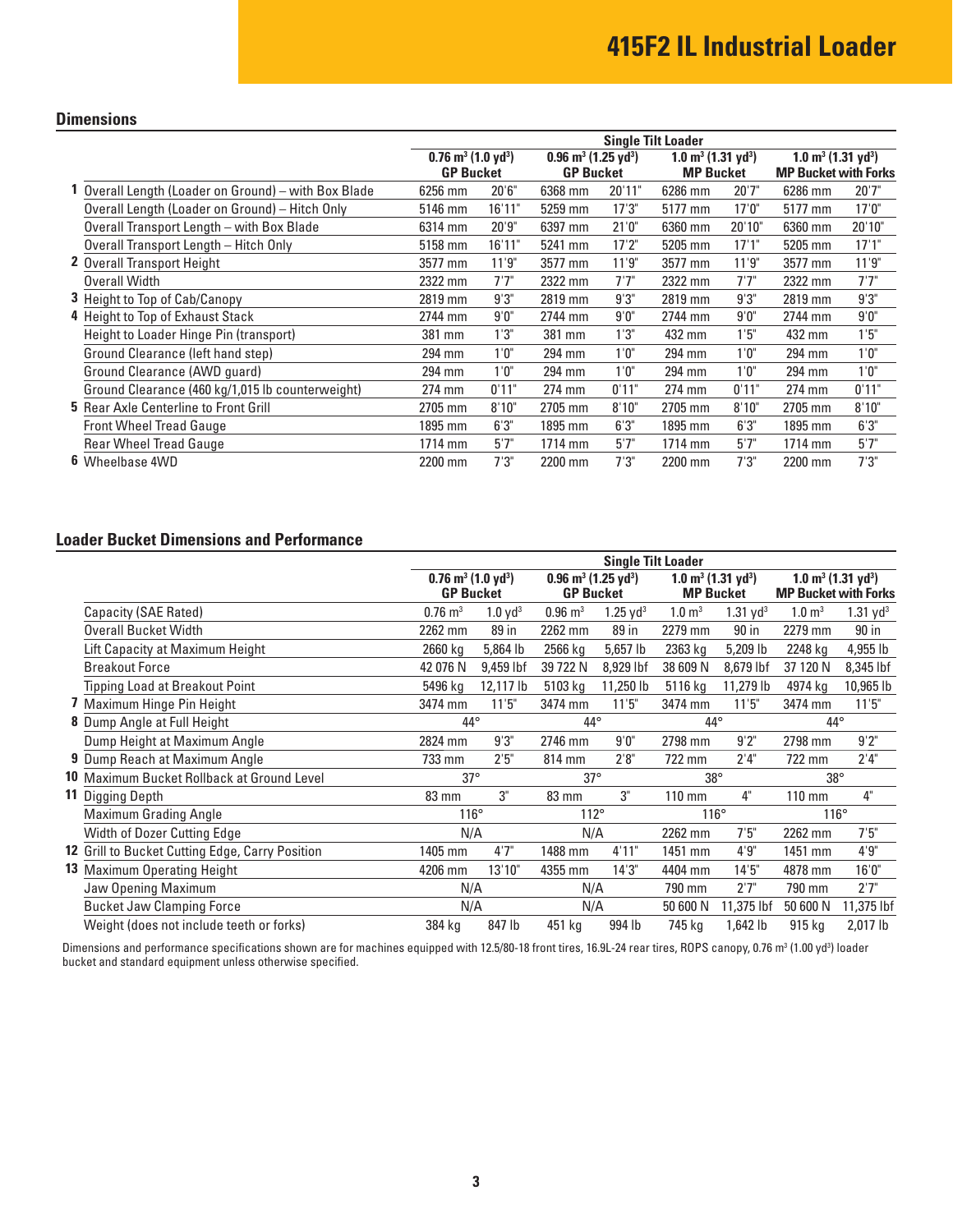### **Dimensions**

|                                                    | <b>Single Tilt Loader</b>                    |        |                                            |        |                                           |        |                                           |        |
|----------------------------------------------------|----------------------------------------------|--------|--------------------------------------------|--------|-------------------------------------------|--------|-------------------------------------------|--------|
|                                                    | $0.76$ m <sup>3</sup> (1.0 yd <sup>3</sup> ) |        | $0.96 \text{ m}^3$ (1.25 vd <sup>3</sup> ) |        | $1.0 \text{ m}^3$ (1.31 yd <sup>3</sup> ) |        | $1.0 \text{ m}^3$ (1.31 yd <sup>3</sup> ) |        |
|                                                    | <b>GP Bucket</b>                             |        | <b>GP Bucket</b>                           |        | <b>MP Bucket</b>                          |        | <b>MP Bucket with Forks</b>               |        |
| Overall Length (Loader on Ground) - with Box Blade | 6256 mm                                      | 20'6'' | 6368 mm                                    | 20'11" | 6286 mm                                   | 20'7"  | 6286 mm                                   | 20'7"  |
| Overall Length (Loader on Ground) - Hitch Only     | 5146 mm                                      | 16'11" | 5259 mm                                    | 17'3'' | 5177 mm                                   | 17'0'' | 5177 mm                                   | 17'0'' |
| Overall Transport Length - with Box Blade          | 6314 mm                                      | 20'9"  | 6397 mm                                    | 21'0'' | 6360 mm                                   | 20'10" | 6360 mm                                   | 20'10" |
| Overall Transport Length - Hitch Only              | 5158 mm                                      | 16'11" | 5241 mm                                    | 17'2"  | 5205 mm                                   | 17'1"  | 5205 mm                                   | 17'1"  |
| <b>2</b> Overall Transport Height                  | 3577 mm                                      | 11'9"  | 3577 mm                                    | 11'9"  | 3577 mm                                   | 11'9"  | 3577 mm                                   | 11'9"  |
| Overall Width                                      | 2322 mm                                      | 7'7''  | 2322 mm                                    | 7'7''  | 2322 mm                                   | 7'7''  | 2322 mm                                   | 7'7"   |
| <b>3</b> Height to Top of Cab/Canopy               | 2819 mm                                      | 9'3''  | 2819 mm                                    | 9'3"   | 2819 mm                                   | 9'3''  | 2819 mm                                   | 9'3''  |
| 4 Height to Top of Exhaust Stack                   | 2744 mm                                      | 9'0''  | 2744 mm                                    | 9'0''  | 2744 mm                                   | 9'0''  | 2744 mm                                   | 9'0''  |
| Height to Loader Hinge Pin (transport)             | 381 mm                                       | 1'3"   | 381 mm                                     | 1'3"   | 432 mm                                    | 1'5"   | 432 mm                                    | 1'5"   |
| Ground Clearance (left hand step)                  | 294 mm                                       | 1'0''  | 294 mm                                     | 1'0''  | 294 mm                                    | 1'0''  | 294 mm                                    | 1'0''  |
| Ground Clearance (AWD quard)                       | 294 mm                                       | 1'0''  | 294 mm                                     | 1'0''  | 294 mm                                    | 1'0''  | 294 mm                                    | 1'0''  |
| Ground Clearance (460 kg/1,015 lb counterweight)   | 274 mm                                       | 0'11"  | 274 mm                                     | 0'11"  | 274 mm                                    | 0'11"  | 274 mm                                    | 0'11"  |
| <b>5</b> Rear Axle Centerline to Front Grill       | 2705 mm                                      | 8'10"  | 2705 mm                                    | 8'10"  | 2705 mm                                   | 8'10"  | 2705 mm                                   | 8'10"  |
| <b>Front Wheel Tread Gauge</b>                     | 1895 mm                                      | 6'3''  | 1895 mm                                    | 6'3''  | 1895 mm                                   | 6'3''  | 1895 mm                                   | 6'3''  |
| <b>Rear Wheel Tread Gauge</b>                      | 1714 mm                                      | 5'7''  | 1714 mm                                    | 5'7''  | 1714 mm                                   | 5'7''  | 1714 mm                                   | 5'7''  |
| 6 Wheelbase 4WD                                    | 2200 mm                                      | 7'3''  | 2200 mm                                    | 7'3''  | 2200 mm                                   | 7'3''  | 2200 mm                                   | 7'3''  |

## **Loader Bucket Dimensions and Performance**

|                                                 | <b>Single Tilt Loader</b>                                                                                                                  |                       |                    |                                           |                       |                        |                   |                             |  |
|-------------------------------------------------|--------------------------------------------------------------------------------------------------------------------------------------------|-----------------------|--------------------|-------------------------------------------|-----------------------|------------------------|-------------------|-----------------------------|--|
|                                                 | $0.76$ m <sup>3</sup> (1.0 yd <sup>3</sup> )<br>$0.96$ m <sup>3</sup> (1.25 yd <sup>3</sup> )<br>$1.0 \text{ m}^3$ (1.31 yd <sup>3</sup> ) |                       |                    | $1.0 \text{ m}^3$ (1.31 yd <sup>3</sup> ) |                       |                        |                   |                             |  |
|                                                 |                                                                                                                                            | <b>GP Bucket</b>      |                    | <b>GP Bucket</b>                          |                       | <b>MP Bucket</b>       |                   | <b>MP Bucket with Forks</b> |  |
| Capacity (SAE Rated)                            | $0.76 \text{ m}^3$                                                                                                                         | $1.0$ yd <sup>3</sup> | $0.96 \text{ m}^3$ | $1.25 \text{ yd}^3$                       | $1.0 \; \mathrm{m}^3$ | $1.31$ yd <sup>3</sup> | $1.0 \text{ m}^3$ | 1.31 yd <sup>3</sup>        |  |
| <b>Overall Bucket Width</b>                     | 2262 mm                                                                                                                                    | 89 in                 | 2262 mm            | 89 in                                     | 2279 mm               | 90 in                  | 2279 mm           | 90 in                       |  |
| Lift Capacity at Maximum Height                 | 2660 kg                                                                                                                                    | 5,864 lb              | 2566 kg            | 5,657 lb                                  | 2363 kg               | 5,209 lb               | 2248 kg           | 4,955 lb                    |  |
| <b>Breakout Force</b>                           | 42 076 N                                                                                                                                   | 9,459 lbf             | 39 722 N           | 8,929 lbf                                 | 38 609 N              | 8,679 lbf              | 37 120 N          | 8,345 lbf                   |  |
| <b>Tipping Load at Breakout Point</b>           | 5496 kg                                                                                                                                    | 12,117 lb             | 5103 kg            | 11,250 lb                                 | 5116 kg               | 11,279 lb              | 4974 kg           | 10,965 lb                   |  |
| 7 Maximum Hinge Pin Height                      | 3474 mm                                                                                                                                    | 11'5"                 | 3474 mm            | 11'5''                                    | 3474 mm               | 11'5"                  | 3474 mm           | 11'5"                       |  |
| 8 Dump Angle at Full Height                     | $44^{\circ}$                                                                                                                               |                       | 44°                |                                           |                       | $44^{\circ}$           |                   | $44^{\circ}$                |  |
| Dump Height at Maximum Angle                    | 2824 mm                                                                                                                                    | 9'3''                 | 2746 mm            | 9'0''                                     | 2798 mm               | 9'2"                   | 2798 mm           | $9'2"$                      |  |
| <b>9</b> Dump Reach at Maximum Angle            | 733 mm                                                                                                                                     | 2'5''                 | 814 mm             | 2'8''                                     | 722 mm                | 2'4''                  | 722 mm            | 2'4"                        |  |
| 10 Maximum Bucket Rollback at Ground Level      | $37^\circ$                                                                                                                                 |                       | $37^\circ$         |                                           | $38^\circ$            |                        | $38^\circ$        |                             |  |
| <b>11 Digging Depth</b>                         | 83 mm                                                                                                                                      | 3"                    | 83 mm              | 3"                                        | $110 \text{ mm}$      | 4"                     | $110 \text{ mm}$  | 4"                          |  |
| Maximum Grading Angle                           | $116^\circ$                                                                                                                                |                       | 112°               |                                           | $116^\circ$           |                        | $116^\circ$       |                             |  |
| Width of Dozer Cutting Edge                     | N/A                                                                                                                                        |                       | N/A                |                                           | 2262 mm               | 7'5''                  | 2262 mm           | 7'5''                       |  |
| 12 Grill to Bucket Cutting Edge, Carry Position | 1405 mm                                                                                                                                    | 4'7''                 | 1488 mm            | 4'11"                                     | 1451 mm               | 4'9''                  | 1451 mm           | 4'9''                       |  |
| <b>13</b> Maximum Operating Height              | 4206 mm                                                                                                                                    | 13'10"                | 4355 mm            | 14'3''                                    | 4404 mm               | 14'5''                 | 4878 mm           | 16'0''                      |  |
| Jaw Opening Maximum                             | N/A                                                                                                                                        |                       | N/A                |                                           | 790 mm                | 2'7''                  | 790 mm            | 2'7"                        |  |
| <b>Bucket Jaw Clamping Force</b>                | N/A                                                                                                                                        |                       | N/A                |                                           | 50 600 N              | 11,375 lbf             | 50 600 N          | 11,375 lbf                  |  |
| Weight (does not include teeth or forks)        | 384 kg                                                                                                                                     | 847 lb                | 451 kg             | 994 lb                                    | 745 kg                | 1,642 lb               | 915 kg            | 2,017 lb                    |  |

Dimensions and performance specifications shown are for machines equipped with 12.5/80-18 front tires, 16.9L-24 rear tires, ROPS canopy, 0.76 m3 (1.00 yd3) loader bucket and standard equipment unless otherwise specified.